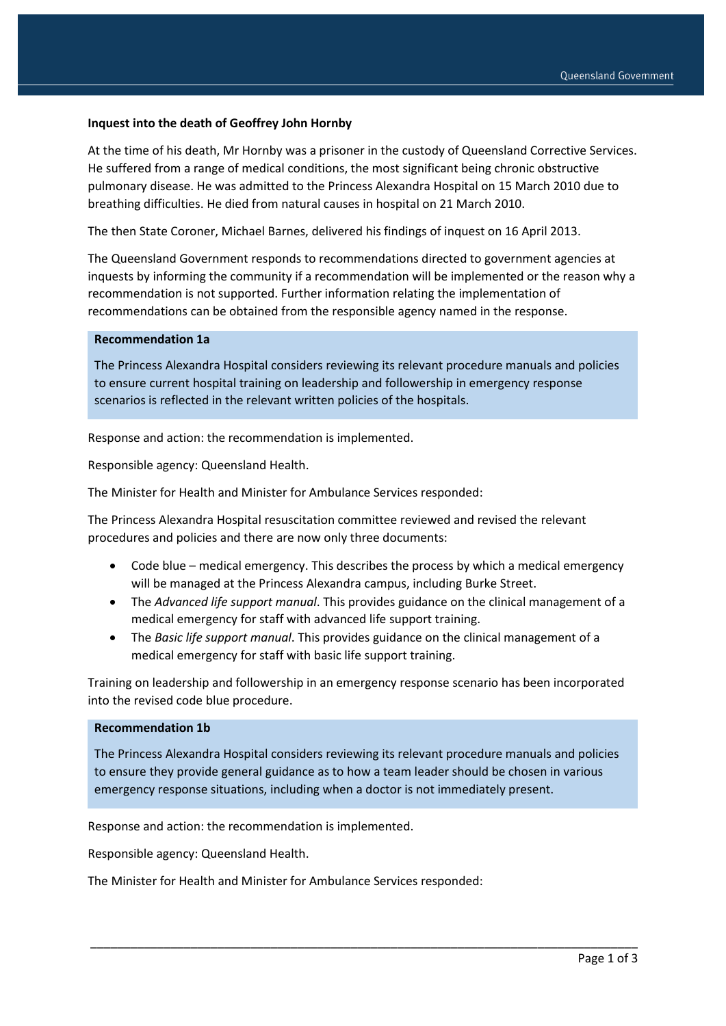### **Inquest into the death of Geoffrey John Hornby**

At the time of his death, Mr Hornby was a prisoner in the custody of Queensland Corrective Services. He suffered from a range of medical conditions, the most significant being chronic obstructive pulmonary disease. He was admitted to the Princess Alexandra Hospital on 15 March 2010 due to breathing difficulties. He died from natural causes in hospital on 21 March 2010.

The then State Coroner, Michael Barnes, delivered his findings of inquest on 16 April 2013.

The Queensland Government responds to recommendations directed to government agencies at inquests by informing the community if a recommendation will be implemented or the reason why a recommendation is not supported. Further information relating the implementation of recommendations can be obtained from the responsible agency named in the response.

# **Recommendation 1a**

The Princess Alexandra Hospital considers reviewing its relevant procedure manuals and policies to ensure current hospital training on leadership and followership in emergency response scenarios is reflected in the relevant written policies of the hospitals.

Response and action: the recommendation is implemented.

Responsible agency: Queensland Health.

The Minister for Health and Minister for Ambulance Services responded:

The Princess Alexandra Hospital resuscitation committee reviewed and revised the relevant procedures and policies and there are now only three documents:

- Code blue medical emergency. This describes the process by which a medical emergency will be managed at the Princess Alexandra campus, including Burke Street.
- The *Advanced life support manual*. This provides guidance on the clinical management of a medical emergency for staff with advanced life support training.
- The *Basic life support manual*. This provides guidance on the clinical management of a medical emergency for staff with basic life support training.

Training on leadership and followership in an emergency response scenario has been incorporated into the revised code blue procedure.

#### **Recommendation 1b**

The Princess Alexandra Hospital considers reviewing its relevant procedure manuals and policies to ensure they provide general guidance as to how a team leader should be chosen in various emergency response situations, including when a doctor is not immediately present.

\_\_\_\_\_\_\_\_\_\_\_\_\_\_\_\_\_\_\_\_\_\_\_\_\_\_\_\_\_\_\_\_\_\_\_\_\_\_\_\_\_\_\_\_\_\_\_\_\_\_\_\_\_\_\_\_\_\_\_\_\_\_\_\_\_\_\_\_\_\_\_\_\_\_\_\_\_\_\_\_\_\_

Response and action: the recommendation is implemented.

Responsible agency: Queensland Health.

The Minister for Health and Minister for Ambulance Services responded: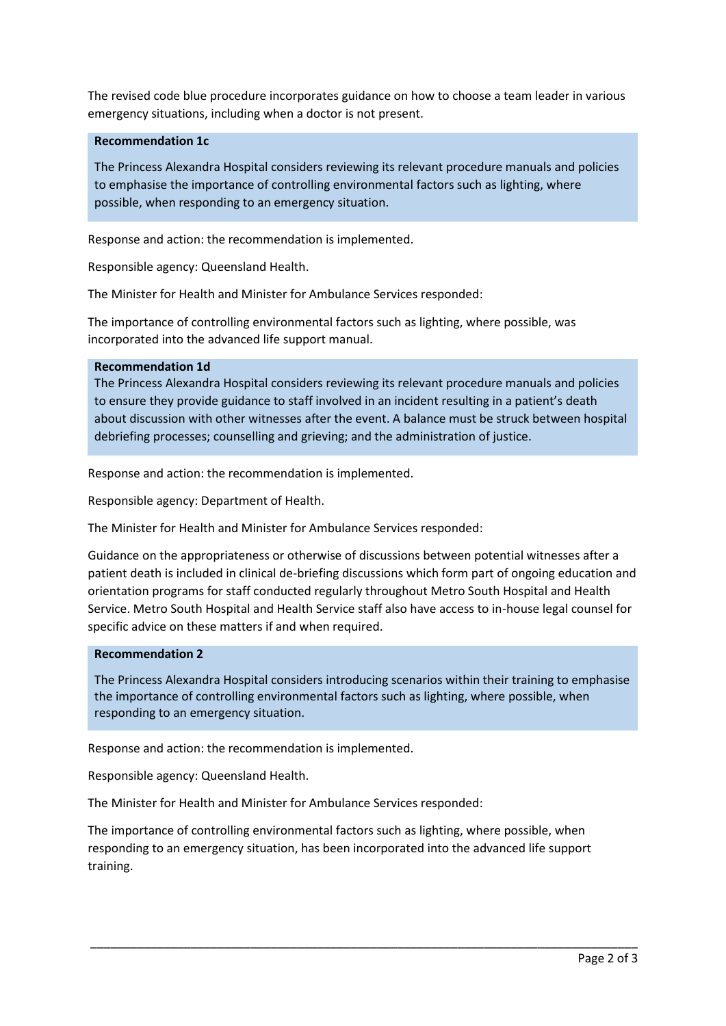The revised code blue procedure incorporates guidance on how to choose a team leader in various emergency situations, including when a doctor is not present.

# **Recommendation 1c**

The Princess Alexandra Hospital considers reviewing its relevant procedure manuals and policies to emphasise the importance of controlling environmental factors such as lighting, where possible, when responding to an emergency situation.

Response and action: the recommendation is implemented.

Responsible agency: Queensland Health.

The Minister for Health and Minister for Ambulance Services responded:

The importance of controlling environmental factors such as lighting, where possible, was incorporated into the advanced life support manual.

### **Recommendation 1d**

The Princess Alexandra Hospital considers reviewing its relevant procedure manuals and policies to ensure they provide guidance to staff involved in an incident resulting in a patient's death about discussion with other witnesses after the event. A balance must be struck between hospital debriefing processes; counselling and grieving; and the administration of justice.

Response and action: the recommendation is implemented.

Responsible agency: Department of Health.

The Minister for Health and Minister for Ambulance Services responded:

Guidance on the appropriateness or otherwise of discussions between potential witnesses after a patient death is included in clinical de-briefing discussions which form part of ongoing education and orientation programs for staff conducted regularly throughout Metro South Hospital and Health Service. Metro South Hospital and Health Service staff also have access to in-house legal counsel for specific advice on these matters if and when required.

#### **Recommendation 2**

The Princess Alexandra Hospital considers introducing scenarios within their training to emphasise the importance of controlling environmental factors such as lighting, where possible, when responding to an emergency situation.

Response and action: the recommendation is implemented.

Responsible agency: Queensland Health.

The Minister for Health and Minister for Ambulance Services responded:

The importance of controlling environmental factors such as lighting, where possible, when responding to an emergency situation, has been incorporated into the advanced life support training.

\_\_\_\_\_\_\_\_\_\_\_\_\_\_\_\_\_\_\_\_\_\_\_\_\_\_\_\_\_\_\_\_\_\_\_\_\_\_\_\_\_\_\_\_\_\_\_\_\_\_\_\_\_\_\_\_\_\_\_\_\_\_\_\_\_\_\_\_\_\_\_\_\_\_\_\_\_\_\_\_\_\_